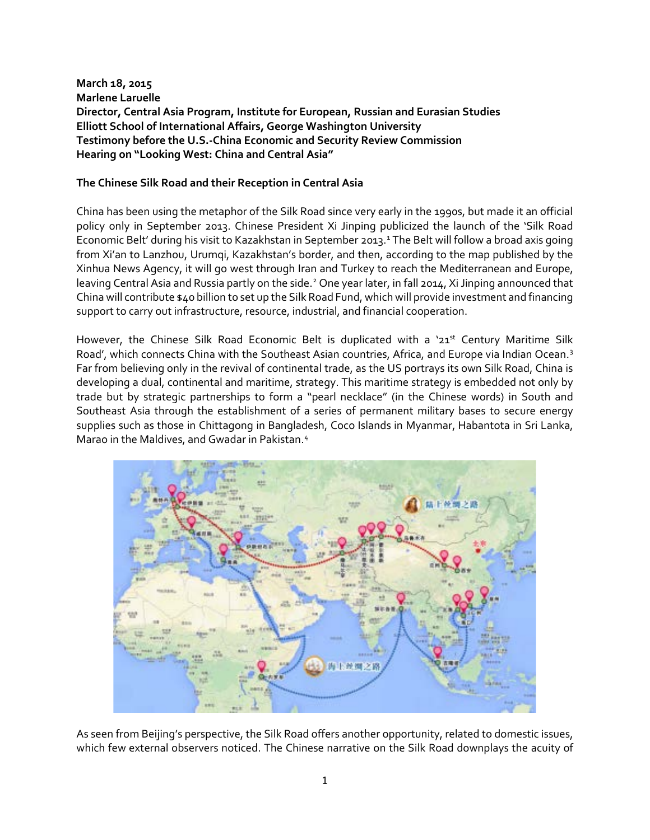**March 18, 2015 Marlene Laruelle Director, Central Asia Program, Institute for European, Russian and Eurasian Studies Elliott School of International Affairs, George Washington University Testimony before the U.S.-China Economic and Security Review Commission Hearing on "Looking West: China and Central Asia"**

#### **The Chinese Silk Road and their Reception in Central Asia**

China has been using the metaphor of the Silk Road since very early in the 1990s, but made it an official policy only in September 2013. Chinese President Xi Jinping publicized the launch of the 'Silk Road Economic Belt' during his visit to Kazakhstan in September 20[1](#page-8-0)3.<sup>1</sup> The Belt will follow a broad axis going from Xi'an to Lanzhou, Urumqi, Kazakhstan's border, and then, according to the map published by the Xinhua News Agency, it will go west through Iran and Turkey to reach the Mediterranean and Europe, leaving Central Asia and Russia partly on the side.<sup>[2](#page-8-1)</sup> One year later, in fall 2014, Xi Jinping announced that China will contribute \$40 billion to set up the Silk Road Fund, which will provide investment and financing support to carry out infrastructure, resource, industrial, and financial cooperation.

However, the Chinese Silk Road Economic Belt is duplicated with a '21<sup>st</sup> Century Maritime Silk Road', which connects China with the Southeast Asian countries, Africa, and Europe via Indian Ocean.<sup>[3](#page-8-2)</sup> Far from believing only in the revival of continental trade, as the US portrays its own Silk Road, China is developing a dual, continental and maritime, strategy. This maritime strategy is embedded not only by trade but by strategic partnerships to form a "pearl necklace" (in the Chinese words) in South and Southeast Asia through the establishment of a series of permanent military bases to secure energy supplies such as those in Chittagong in Bangladesh, Coco Islands in Myanmar, Habantota in Sri Lanka, Marao in the Maldives, and Gwadar in Pakistan.<sup>[4](#page-8-3)</sup>



As seen from Beijing's perspective, the Silk Road offers another opportunity, related to domestic issues, which few external observers noticed. The Chinese narrative on the Silk Road downplays the acuity of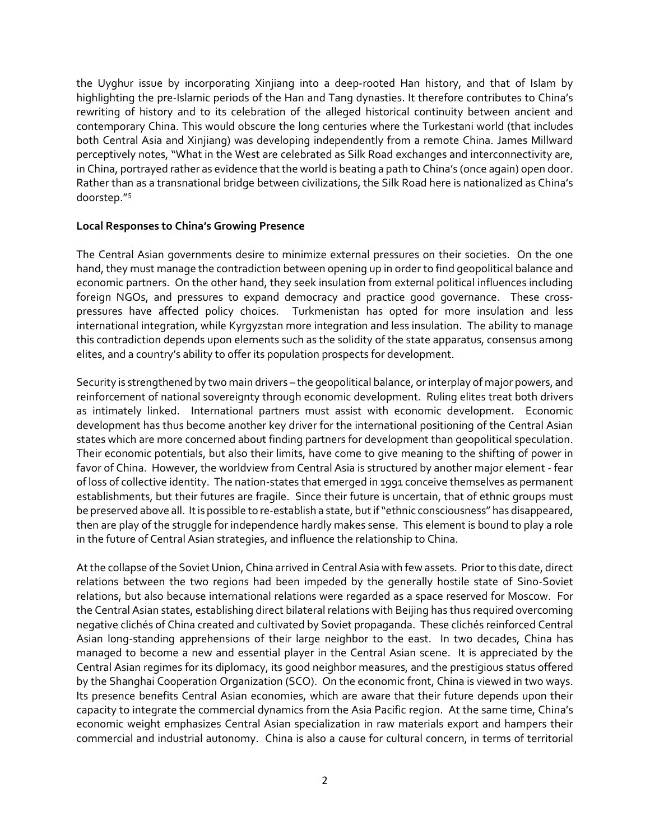the Uyghur issue by incorporating Xinjiang into a deep-rooted Han history, and that of Islam by highlighting the pre-Islamic periods of the Han and Tang dynasties. It therefore contributes to China's rewriting of history and to its celebration of the alleged historical continuity between ancient and contemporary China. This would obscure the long centuries where the Turkestani world (that includes both Central Asia and Xinjiang) was developing independently from a remote China. James Millward perceptively notes, "What in the West are celebrated as Silk Road exchanges and interconnectivity are, in China, portrayed rather as evidence that the world is beating a path to China's (once again) open door. Rather than as a transnational bridge between civilizations, the Silk Road here is nationalized as China's doorstep."[5](#page-8-4)

#### **Local Responses to China's Growing Presence**

The Central Asian governments desire to minimize external pressures on their societies. On the one hand, they must manage the contradiction between opening up in order to find geopolitical balance and economic partners. On the other hand, they seek insulation from external political influences including foreign NGOs, and pressures to expand democracy and practice good governance. These crosspressures have affected policy choices. Turkmenistan has opted for more insulation and less international integration, while Kyrgyzstan more integration and less insulation. The ability to manage this contradiction depends upon elements such as the solidity of the state apparatus, consensus among elites, and a country's ability to offer its population prospects for development.

Security is strengthened by two main drivers – the geopolitical balance, or interplay of major powers, and reinforcement of national sovereignty through economic development. Ruling elites treat both drivers as intimately linked. International partners must assist with economic development. Economic development has thus become another key driver for the international positioning of the Central Asian states which are more concerned about finding partners for development than geopolitical speculation. Their economic potentials, but also their limits, have come to give meaning to the shifting of power in favor of China. However, the worldview from Central Asia is structured by another major element - fear of loss of collective identity. The nation-states that emerged in 1991 conceive themselves as permanent establishments, but their futures are fragile. Since their future is uncertain, that of ethnic groups must be preserved above all. It is possible to re-establish a state, but if "ethnic consciousness" has disappeared, then are play of the struggle for independence hardly makes sense. This element is bound to play a role in the future of Central Asian strategies, and influence the relationship to China.

At the collapse of the Soviet Union, China arrived in Central Asia with few assets. Prior to this date, direct relations between the two regions had been impeded by the generally hostile state of Sino-Soviet relations, but also because international relations were regarded as a space reserved for Moscow. For the Central Asian states, establishing direct bilateral relations with Beijing has thus required overcoming negative clichés of China created and cultivated by Soviet propaganda. These clichés reinforced Central Asian long-standing apprehensions of their large neighbor to the east. In two decades, China has managed to become a new and essential player in the Central Asian scene. It is appreciated by the Central Asian regimes for its diplomacy, its good neighbor measures, and the prestigious status offered by the Shanghai Cooperation Organization (SCO). On the economic front, China is viewed in two ways. Its presence benefits Central Asian economies, which are aware that their future depends upon their capacity to integrate the commercial dynamics from the Asia Pacific region. At the same time, China's economic weight emphasizes Central Asian specialization in raw materials export and hampers their commercial and industrial autonomy. China is also a cause for cultural concern, in terms of territorial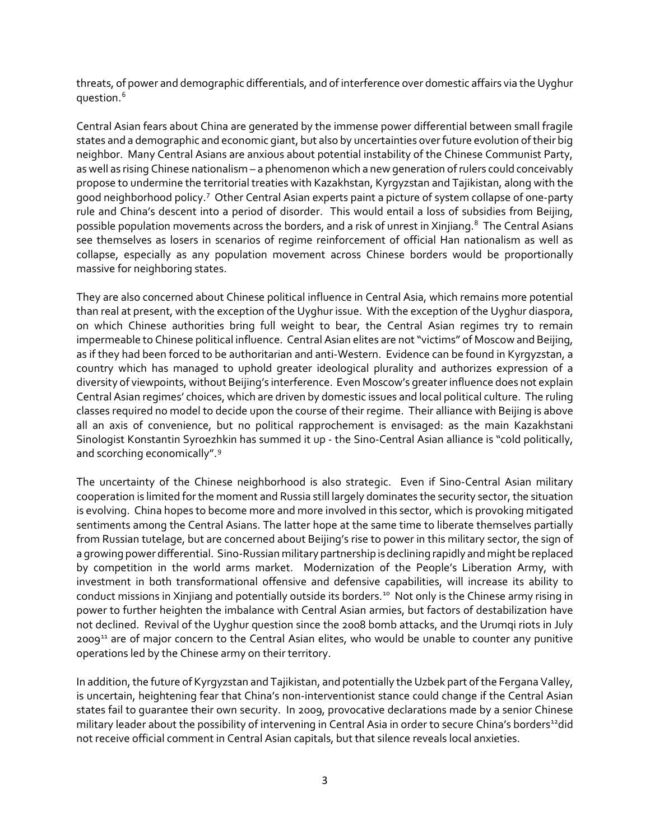threats, of power and demographic differentials, and of interference over domestic affairs via the Uyghur question.[6](#page-8-5)

Central Asian fears about China are generated by the immense power differential between small fragile states and a demographic and economic giant, but also by uncertainties over future evolution of their big neighbor. Many Central Asians are anxious about potential instability of the Chinese Communist Party, as well as rising Chinese nationalism – a phenomenon which a new generation of rulers could conceivably propose to undermine the territorial treaties with Kazakhstan, Kyrgyzstan and Tajikistan, along with the good neighborhood policy.<sup>[7](#page-8-6)</sup> Other Central Asian experts paint a picture of system collapse of one-party rule and China's descent into a period of disorder. This would entail a loss of subsidies from Beijing, possible population movements across the borders, and a risk of unrest in Xinjiang.<sup>[8](#page-8-7)</sup> The Central Asians see themselves as losers in scenarios of regime reinforcement of official Han nationalism as well as collapse, especially as any population movement across Chinese borders would be proportionally massive for neighboring states.

They are also concerned about Chinese political influence in Central Asia, which remains more potential than real at present, with the exception of the Uyghur issue. With the exception of the Uyghur diaspora, on which Chinese authorities bring full weight to bear, the Central Asian regimes try to remain impermeable to Chinese political influence. Central Asian elites are not "victims" of Moscow and Beijing, as if they had been forced to be authoritarian and anti-Western. Evidence can be found in Kyrgyzstan, a country which has managed to uphold greater ideological plurality and authorizes expression of a diversity of viewpoints, without Beijing's interference. Even Moscow's greater influence does not explain Central Asian regimes' choices, which are driven by domestic issues and local political culture. The ruling classes required no model to decide upon the course of their regime. Their alliance with Beijing is above all an axis of convenience, but no political rapprochement is envisaged: as the main Kazakhstani Sinologist Konstantin Syroezhkin has summed it up - the Sino-Central Asian alliance is "cold politically, and scorching economically".[9](#page-8-8)

The uncertainty of the Chinese neighborhood is also strategic. Even if Sino-Central Asian military cooperation is limited for the moment and Russia still largely dominates the security sector, the situation is evolving. China hopes to become more and more involved in this sector, which is provoking mitigated sentiments among the Central Asians. The latter hope at the same time to liberate themselves partially from Russian tutelage, but are concerned about Beijing's rise to power in this military sector, the sign of a growing power differential. Sino-Russian military partnership is declining rapidly and might be replaced by competition in the world arms market. Modernization of the People's Liberation Army, with investment in both transformational offensive and defensive capabilities, will increase its ability to conduct missions in Xinjiang and potentially outside its borders.<sup>[10](#page-8-9)</sup> Not only is the Chinese army rising in power to further heighten the imbalance with Central Asian armies, but factors of destabilization have not declined. Revival of the Uyghur question since the 2008 bomb attacks, and the Urumqi riots in July 2009<sup>[11](#page-8-10)</sup> are of major concern to the Central Asian elites, who would be unable to counter any punitive operations led by the Chinese army on their territory.

In addition, the future of Kyrgyzstan and Tajikistan, and potentially the Uzbek part of the Fergana Valley, is uncertain, heightening fear that China's non-interventionist stance could change if the Central Asian states fail to guarantee their own security. In 2009, provocative declarations made by a senior Chinese military leader about the possibility of intervening in Central Asia in order to secure China's borders<sup>12</sup>did not receive official comment in Central Asian capitals, but that silence reveals local anxieties.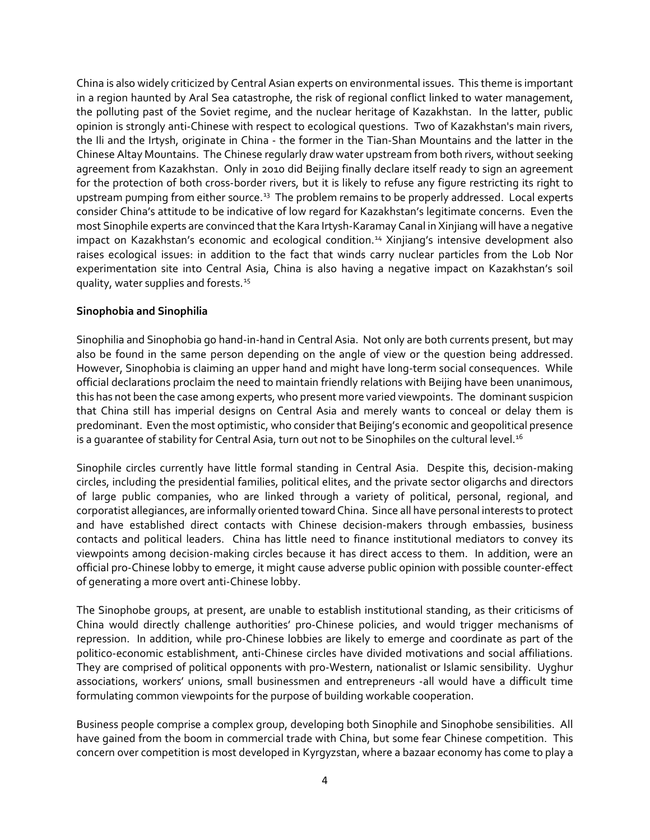China is also widely criticized by Central Asian experts on environmental issues. This theme is important in a region haunted by Aral Sea catastrophe, the risk of regional conflict linked to water management, the polluting past of the Soviet regime, and the nuclear heritage of Kazakhstan. In the latter, public opinion is strongly anti-Chinese with respect to ecological questions. Two of Kazakhstan's main rivers, the Ili and the Irtysh, originate in China - the former in the Tian-Shan Mountains and the latter in the Chinese Altay Mountains. The Chinese regularly draw water upstream from both rivers, without seeking agreement from Kazakhstan. Only in 2010 did Beijing finally declare itself ready to sign an agreement for the protection of both cross-border rivers, but it is likely to refuse any figure restricting its right to upstream pumping from either source.<sup>[13](#page-8-12)</sup> The problem remains to be properly addressed. Local experts consider China's attitude to be indicative of low regard for Kazakhstan's legitimate concerns. Even the most Sinophile experts are convinced that the Kara Irtysh-Karamay Canal in Xinjiang will have a negative impact on Kazakhstan's economic and ecological condition.<sup>[14](#page-8-13)</sup> Xinjiang's intensive development also raises ecological issues: in addition to the fact that winds carry nuclear particles from the Lob Nor experimentation site into Central Asia, China is also having a negative impact on Kazakhstan's soil quality, water supplies and forests.<sup>[15](#page-8-14)</sup>

## **Sinophobia and Sinophilia**

Sinophilia and Sinophobia go hand-in-hand in Central Asia. Not only are both currents present, but may also be found in the same person depending on the angle of view or the question being addressed. However, Sinophobia is claiming an upper hand and might have long-term social consequences. While official declarations proclaim the need to maintain friendly relations with Beijing have been unanimous, this has not been the case among experts, who present more varied viewpoints. The dominant suspicion that China still has imperial designs on Central Asia and merely wants to conceal or delay them is predominant. Even the most optimistic, who consider that Beijing's economic and geopolitical presence is a quarantee of stability for Central Asia, turn out not to be Sinophiles on the cultural level.<sup>[16](#page-8-15)</sup>

Sinophile circles currently have little formal standing in Central Asia. Despite this, decision-making circles, including the presidential families, political elites, and the private sector oligarchs and directors of large public companies, who are linked through a variety of political, personal, regional, and corporatist allegiances, are informally oriented toward China. Since all have personal interests to protect and have established direct contacts with Chinese decision-makers through embassies, business contacts and political leaders. China has little need to finance institutional mediators to convey its viewpoints among decision-making circles because it has direct access to them. In addition, were an official pro-Chinese lobby to emerge, it might cause adverse public opinion with possible counter-effect of generating a more overt anti-Chinese lobby.

The Sinophobe groups, at present, are unable to establish institutional standing, as their criticisms of China would directly challenge authorities' pro-Chinese policies, and would trigger mechanisms of repression. In addition, while pro-Chinese lobbies are likely to emerge and coordinate as part of the politico-economic establishment, anti-Chinese circles have divided motivations and social affiliations. They are comprised of political opponents with pro-Western, nationalist or Islamic sensibility. Uyghur associations, workers' unions, small businessmen and entrepreneurs -all would have a difficult time formulating common viewpoints for the purpose of building workable cooperation.

Business people comprise a complex group, developing both Sinophile and Sinophobe sensibilities. All have gained from the boom in commercial trade with China, but some fear Chinese competition. This concern over competition is most developed in Kyrgyzstan, where a bazaar economy has come to play a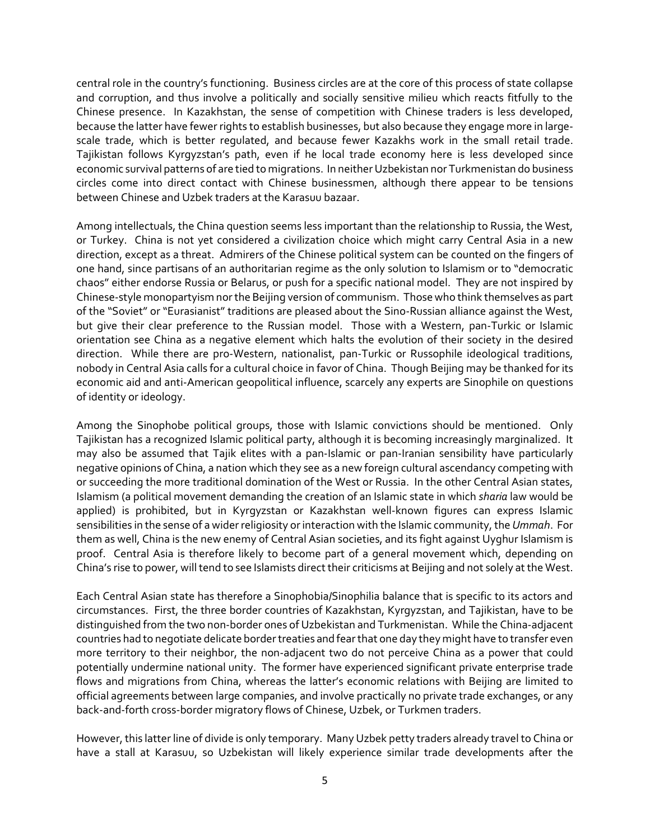central role in the country's functioning. Business circles are at the core of this process of state collapse and corruption, and thus involve a politically and socially sensitive milieu which reacts fitfully to the Chinese presence. In Kazakhstan, the sense of competition with Chinese traders is less developed, because the latter have fewer rights to establish businesses, but also because they engage more in largescale trade, which is better regulated, and because fewer Kazakhs work in the small retail trade. Tajikistan follows Kyrgyzstan's path, even if he local trade economy here is less developed since economic survival patterns of are tied to migrations. In neither Uzbekistan nor Turkmenistan do business circles come into direct contact with Chinese businessmen, although there appear to be tensions between Chinese and Uzbek traders at the Karasuu bazaar.

Among intellectuals, the China question seems less important than the relationship to Russia, the West, or Turkey. China is not yet considered a civilization choice which might carry Central Asia in a new direction, except as a threat. Admirers of the Chinese political system can be counted on the fingers of one hand, since partisans of an authoritarian regime as the only solution to Islamism or to "democratic chaos" either endorse Russia or Belarus, or push for a specific national model. They are not inspired by Chinese-style monopartyism nor the Beijing version of communism. Those who think themselves as part of the "Soviet" or "Eurasianist" traditions are pleased about the Sino-Russian alliance against the West, but give their clear preference to the Russian model. Those with a Western, pan-Turkic or Islamic orientation see China as a negative element which halts the evolution of their society in the desired direction. While there are pro-Western, nationalist, pan-Turkic or Russophile ideological traditions, nobody in Central Asia calls for a cultural choice in favor of China. Though Beijing may be thanked for its economic aid and anti-American geopolitical influence, scarcely any experts are Sinophile on questions of identity or ideology.

Among the Sinophobe political groups, those with Islamic convictions should be mentioned. Only Tajikistan has a recognized Islamic political party, although it is becoming increasingly marginalized. It may also be assumed that Tajik elites with a pan-Islamic or pan-Iranian sensibility have particularly negative opinions of China, a nation which they see as a new foreign cultural ascendancy competing with or succeeding the more traditional domination of the West or Russia. In the other Central Asian states, Islamism (a political movement demanding the creation of an Islamic state in which *sharia* law would be applied) is prohibited, but in Kyrgyzstan or Kazakhstan well-known figures can express Islamic sensibilities in the sense of a wider religiosity or interaction with the Islamic community, the *Ummah*. For them as well, China is the new enemy of Central Asian societies, and its fight against Uyghur Islamism is proof. Central Asia is therefore likely to become part of a general movement which, depending on China's rise to power, will tend to see Islamists direct their criticisms at Beijing and not solely at the West.

Each Central Asian state has therefore a Sinophobia/Sinophilia balance that is specific to its actors and circumstances. First, the three border countries of Kazakhstan, Kyrgyzstan, and Tajikistan, have to be distinguished from the two non-border ones of Uzbekistan and Turkmenistan. While the China-adjacent countries had to negotiate delicate border treaties and fear that one day they might have to transfer even more territory to their neighbor, the non-adjacent two do not perceive China as a power that could potentially undermine national unity. The former have experienced significant private enterprise trade flows and migrations from China, whereas the latter's economic relations with Beijing are limited to official agreements between large companies, and involve practically no private trade exchanges, or any back-and-forth cross-border migratory flows of Chinese, Uzbek, or Turkmen traders.

However, this latter line of divide is only temporary. Many Uzbek petty traders already travel to China or have a stall at Karasuu, so Uzbekistan will likely experience similar trade developments after the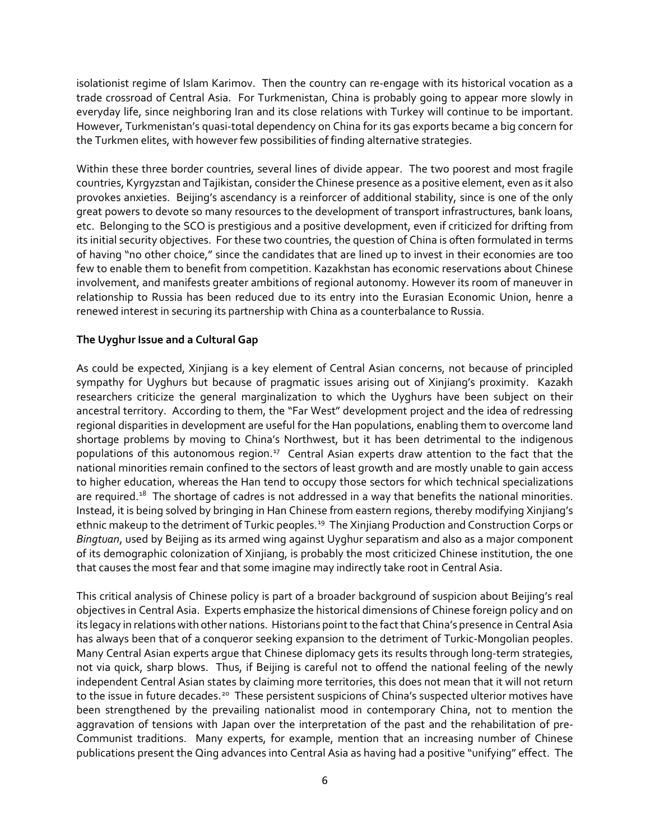isolationist regime of Islam Karimov. Then the country can re-engage with its historical vocation as a trade crossroad of Central Asia. For Turkmenistan, China is probably going to appear more slowly in everyday life, since neighboring Iran and its close relations with Turkey will continue to be important. However, Turkmenistan's quasi-total dependency on China for its gas exports became a big concern for the Turkmen elites, with however few possibilities of finding alternative strategies.

Within these three border countries, several lines of divide appear. The two poorest and most fragile countries, Kyrgyzstan and Tajikistan, consider the Chinese presence as a positive element, even as it also provokes anxieties. Beijing's ascendancy is a reinforcer of additional stability, since is one of the only great powers to devote so many resources to the development of transport infrastructures, bank loans, etc. Belonging to the SCO is prestigious and a positive development, even if criticized for drifting from its initial security objectives. For these two countries, the question of China is often formulated in terms of having "no other choice," since the candidates that are lined up to invest in their economies are too few to enable them to benefit from competition. Kazakhstan has economic reservations about Chinese involvement, and manifests greater ambitions of regional autonomy. However its room of maneuver in relationship to Russia has been reduced due to its entry into the Eurasian Economic Union, henre a renewed interest in securing its partnership with China as a counterbalance to Russia.

## **The Uyghur Issue and a Cultural Gap**

As could be expected, Xinjiang is a key element of Central Asian concerns, not because of principled sympathy for Uyghurs but because of pragmatic issues arising out of Xinjiang's proximity. Kazakh researchers criticize the general marginalization to which the Uyghurs have been subject on their ancestral territory. According to them, the "Far West" development project and the idea of redressing regional disparities in development are useful for the Han populations, enabling them to overcome land shortage problems by moving to China's Northwest, but it has been detrimental to the indigenous populations of this autonomous region.<sup>17</sup> Central Asian experts draw attention to the fact that the national minorities remain confined to the sectors of least growth and are mostly unable to gain access to higher education, whereas the Han tend to occupy those sectors for which technical specializations are required.<sup>18</sup> The shortage of cadres is not addressed in a way that benefits the national minorities. Instead, it is being solved by bringing in Han Chinese from eastern regions, thereby modifying Xinjiang's ethnic makeup to the detriment of Turkic peoples.<sup>[19](#page-8-18)</sup> The Xinjiang Production and Construction Corps or *Bingtuan*, used by Beijing as its armed wing against Uyghur separatism and also as a major component of its demographic colonization of Xinjiang, is probably the most criticized Chinese institution, the one that causes the most fear and that some imagine may indirectly take root in Central Asia.

This critical analysis of Chinese policy is part of a broader background of suspicion about Beijing's real objectives in Central Asia. Experts emphasize the historical dimensions of Chinese foreign policy and on its legacy in relations with other nations. Historians point to the fact that China's presence in Central Asia has always been that of a conqueror seeking expansion to the detriment of Turkic-Mongolian peoples. Many Central Asian experts argue that Chinese diplomacy gets its results through long-term strategies, not via quick, sharp blows. Thus, if Beijing is careful not to offend the national feeling of the newly independent Central Asian states by claiming more territories, this does not mean that it will not return to the issue in future decades.<sup>[20](#page-8-19)</sup> These persistent suspicions of China's suspected ulterior motives have been strengthened by the prevailing nationalist mood in contemporary China, not to mention the aggravation of tensions with Japan over the interpretation of the past and the rehabilitation of pre-Communist traditions. Many experts, for example, mention that an increasing number of Chinese publications present the Qing advances into Central Asia as having had a positive "unifying" effect. The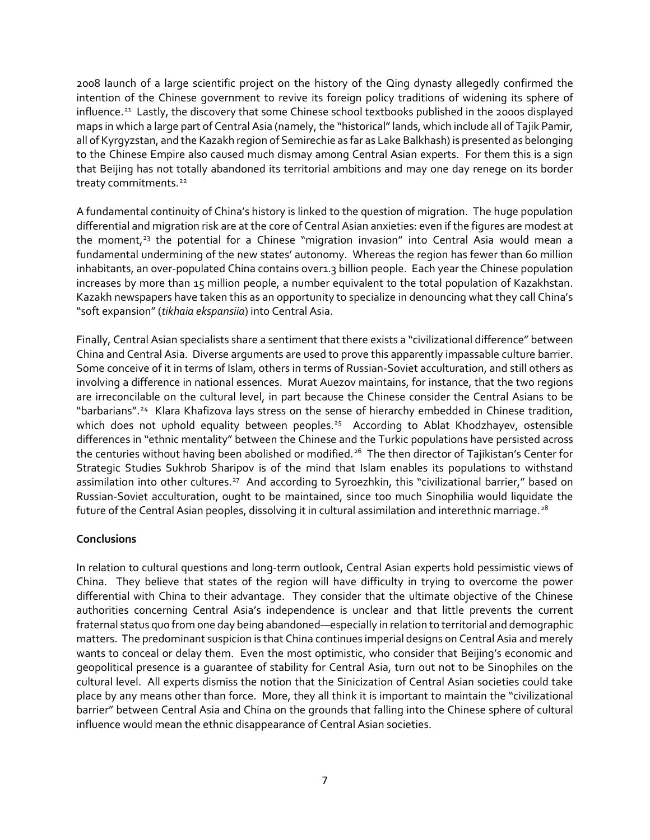2008 launch of a large scientific project on the history of the Qing dynasty allegedly confirmed the intention of the Chinese government to revive its foreign policy traditions of widening its sphere of influence.<sup>21</sup> Lastly, the discovery that some Chinese school textbooks published in the 2000s displayed maps in which a large part of Central Asia (namely, the "historical" lands, which include all of Tajik Pamir, all of Kyrgyzstan, and the Kazakh region of Semirechie as far as Lake Balkhash) is presented as belonging to the Chinese Empire also caused much dismay among Central Asian experts. For them this is a sign that Beijing has not totally abandoned its territorial ambitions and may one day renege on its border treaty commitments.<sup>[22](#page-8-21)</sup>

A fundamental continuity of China's history is linked to the question of migration. The huge population differential and migration risk are at the core of Central Asian anxieties: even if the figures are modest at the moment,<sup>[23](#page-8-22)</sup> the potential for a Chinese "migration invasion" into Central Asia would mean a fundamental undermining of the new states' autonomy. Whereas the region has fewer than 60 million inhabitants, an over-populated China contains over1.3 billion people. Each year the Chinese population increases by more than 15 million people, a number equivalent to the total population of Kazakhstan. Kazakh newspapers have taken this as an opportunity to specialize in denouncing what they call China's "soft expansion" (*tikhaia ekspansiia*) into Central Asia.

Finally, Central Asian specialists share a sentiment that there exists a "civilizational difference" between China and Central Asia. Diverse arguments are used to prove this apparently impassable culture barrier. Some conceive of it in terms of Islam, others in terms of Russian-Soviet acculturation, and still others as involving a difference in national essences. Murat Auezov maintains, for instance, that the two regions are irreconcilable on the cultural level, in part because the Chinese consider the Central Asians to be "barbarians".<sup>[24](#page-8-23)</sup> Klara Khafizova lays stress on the sense of hierarchy embedded in Chinese tradition, which does not uphold equality between peoples.<sup>25</sup> According to Ablat Khodzhayev, ostensible differences in "ethnic mentality" between the Chinese and the Turkic populations have persisted across the centuries without having been abolished or modified.<sup>26</sup> The then director of Tajikistan's Center for Strategic Studies Sukhrob Sharipov is of the mind that Islam enables its populations to withstand assimilation into other cultures.<sup>27</sup> And according to Syroezhkin, this "civilizational barrier," based on Russian-Soviet acculturation, ought to be maintained, since too much Sinophilia would liquidate the future of the Central Asian peoples, dissolving it in cultural assimilation and interethnic marriage.<sup>[28](#page-8-27)</sup>

# **Conclusions**

In relation to cultural questions and long-term outlook, Central Asian experts hold pessimistic views of China. They believe that states of the region will have difficulty in trying to overcome the power differential with China to their advantage. They consider that the ultimate objective of the Chinese authorities concerning Central Asia's independence is unclear and that little prevents the current fraternal status quo from one day being abandoned—especially in relation to territorial and demographic matters. The predominant suspicion is that China continues imperial designs on Central Asia and merely wants to conceal or delay them. Even the most optimistic, who consider that Beijing's economic and geopolitical presence is a guarantee of stability for Central Asia, turn out not to be Sinophiles on the cultural level. All experts dismiss the notion that the Sinicization of Central Asian societies could take place by any means other than force. More, they all think it is important to maintain the "civilizational barrier" between Central Asia and China on the grounds that falling into the Chinese sphere of cultural influence would mean the ethnic disappearance of Central Asian societies.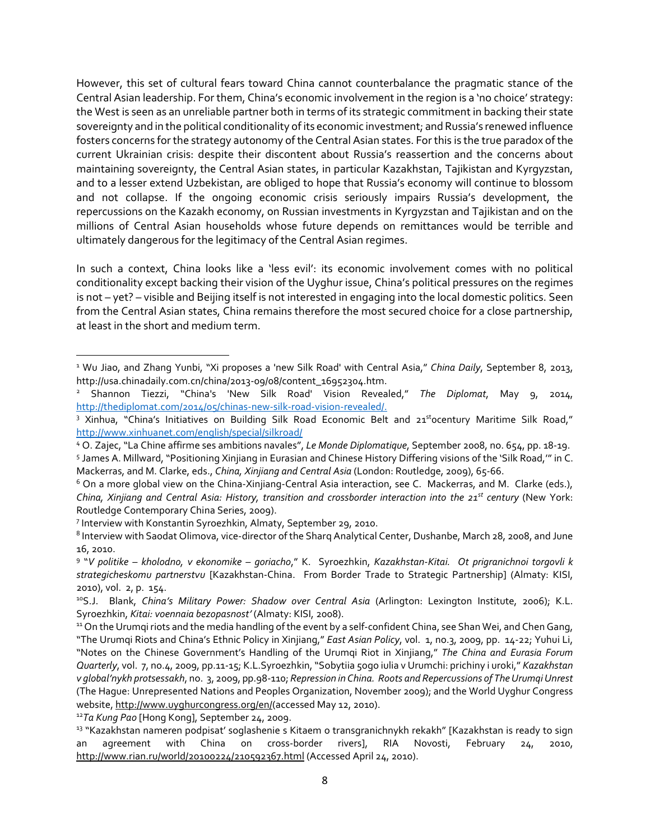However, this set of cultural fears toward China cannot counterbalance the pragmatic stance of the Central Asian leadership. For them, China's economic involvement in the region is a 'no choice' strategy: the West is seen as an unreliable partner both in terms of its strategic commitment in backing their state sovereignty and in the political conditionality of its economic investment; and Russia's renewed influence fosters concerns for the strategy autonomy of the Central Asian states. For this is the true paradox of the current Ukrainian crisis: despite their discontent about Russia's reassertion and the concerns about maintaining sovereignty, the Central Asian states, in particular Kazakhstan, Tajikistan and Kyrgyzstan, and to a lesser extend Uzbekistan, are obliged to hope that Russia's economy will continue to blossom and not collapse. If the ongoing economic crisis seriously impairs Russia's development, the repercussions on the Kazakh economy, on Russian investments in Kyrgyzstan and Tajikistan and on the millions of Central Asian households whose future depends on remittances would be terrible and ultimately dangerous for the legitimacy of the Central Asian regimes.

In such a context, China looks like a 'less evil': its economic involvement comes with no political conditionality except backing their vision of the Uyghur issue, China's political pressures on the regimes is not – yet? – visible and Beijing itself is not interested in engaging into the local domestic politics. Seen from the Central Asian states, China remains therefore the most secured choice for a close partnership, at least in the short and medium term.

<sup>7</sup> Interview with Konstantin Syroezhkin, Almaty, September 29, 2010.

 $\overline{\phantom{a}}$ 

<sup>1</sup> Wu Jiao, and Zhang Yunbi, "Xi proposes a 'new Silk Road' with Central Asia," *China Daily*, September 8, 2013, http://usa.chinadaily.com.cn/china/2013-09/08/content\_16952304.htm.

<sup>2</sup> Shannon Tiezzi, "China's 'New Silk Road' Vision Revealed," *The Diplomat*, May 9, 2014, [http://thediplomat.com/2014/05/chinas-new-silk-road-vision-revealed/.](http://thediplomat.com/2014/05/chinas-new-silk-road-vision-revealed/)

<sup>&</sup>lt;sup>3</sup> Xinhua, "China's Initiatives on Building Silk Road Economic Belt and 21<sup>st</sup>ocentury Maritime Silk Road," <http://www.xinhuanet.com/english/special/silkroad/>

<sup>4</sup> O. Zajec, "La Chine affirme ses ambitions navales", *Le Monde Diplomatique*, September 2008, no. 654, pp. 18-19. <sup>5</sup> James A. Millward, "Positioning Xinjiang in Eurasian and Chinese History Differing visions of the 'Silk Road,'" in C. Mackerras, and M. Clarke, eds., *China, Xinjiang and Central Asia* (London: Routledge, 2009), 65-66.

<sup>&</sup>lt;sup>6</sup> On a more global view on the China-Xinjiang-Central Asia interaction, see C. Mackerras, and M. Clarke (eds.), *China, Xinjiang and Central Asia: History, transition and crossborder interaction into the 21st century* (New York: Routledge Contemporary China Series, 2009).

<sup>8</sup> Interview with Saodat Olimova, vice-director of the Sharq Analytical Center, Dushanbe, March 28, 2008, and June 16, 2010.

<sup>9</sup> "*V politike – kholodno, v ekonomike – goriacho*," K. Syroezhkin, *Kazakhstan-Kitai. Ot prigranichnoi torgovli k strategicheskomu partnerstvu* [Kazakhstan-China. From Border Trade to Strategic Partnership] (Almaty: KISI, 2010), vol. 2, p. 154.

<sup>10</sup>S.J. Blank, *China's Military Power: Shadow over Central Asia* (Arlington: Lexington Institute, 2006); K.L. Syroezhkin, *Kitai: voennaia bezopasnost'* (Almaty: KISI, 2008).<br><sup>11</sup> On the Urumqi riots and the media handling of the event by a self-confident China, see Shan Wei, and Chen Gang,

<sup>&</sup>quot;The Urumqi Riots and China's Ethnic Policy in Xinjiang," *East Asian Policy*, vol. 1, no.3, 2009, pp. 14-22; Yuhui Li, "Notes on the Chinese Government's Handling of the Urumqi Riot in Xinjiang," *The China and Eurasia Forum Quarterly*, vol. 7, no.4, 2009, pp.11-15; K.L.Syroezhkin, "Sobytiia 5ogo iulia v Urumchi: prichiny i uroki," *Kazakhstan v global'nykh protsessakh*, no. 3, 2009, pp.98-110; *Repression in China. Roots and Repercussions of The Urumqi Unrest* (The Hague: Unrepresented Nations and Peoples Organization, November 2009); and the World Uyghur Congress website, [http://www.uyghurcongress.org/en/\(](http://www.uyghurcongress.org/en/)accessed May 12, 2010).<br><sup>12</sup>*Ta Kung Pao* [Hong Kong], September 24, 2009.

<sup>&</sup>lt;sup>13</sup> "Kazakhstan nameren podpisat' soglashenie s Kitaem o transgranichnykh rekakh" [Kazakhstan is ready to sign an agreement with China on cross-border rivers], RIA Novosti, February 24, 2010, <http://www.rian.ru/world/20100224/210592367.html> (Accessed April 24, 2010).